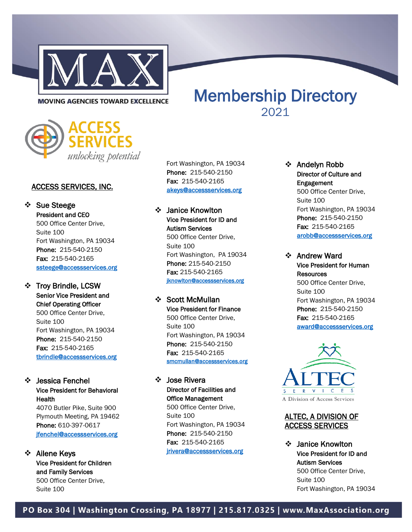

# Membership Directory **MOVING AGENCIES TOWARD EXCELLENCE**



# ACCESS SERVICES, INC.

❖ Sue Steege President and CEO 500 Office Center Drive, Suite 100 Fort Washington, PA 19034 Phone: 215-540-2150 Fax: 215-540-2165 [ssteege@accessservices.org](mailto:ssteege@accessservices.org) 

#### ❖ Troy Brindle, LCSW Senior Vice President and Chief Operating Officer

500 Office Center Drive, Suite 100 Fort Washington, PA 19034 Phone: 215-540-2150 Fax: 215-540-2165 [tbrindle@accessservices.org](mailto:tbrindle@accessservices.org) 

# ❖ Jessica Fenchel

Vice President for Behavioral **Health** 4070 Butler Pike, Suite 900 Plymouth Meeting, PA 19462 Phone: 610-397-0617 [jfenchel@accessservices.org](mailto:jfenchel@accessservices.org)

#### ❖ Ailene Keys Vice President for Children and Family Services 500 Office Center Drive, Suite 100

Fort Washington, PA 19034 Phone: 215-540-2150 Fax: 215-540-2165 [akeys@accessservices.org](mailto:akeys@accessservices.org) 

# ❖ Janice Knowlton Vice President for ID and Autism Services

500 Office Center Drive, Suite 100 Fort Washington, PA 19034 Phone: 215-540-2150 Fax: 215-540-2165 [jknowlton@accessservices.org](mailto:jknowlton@accessservices.org)

# ❖ Scott McMullan

Vice President for Finance 500 Office Center Drive, Suite 100 Fort Washington, PA 19034 Phone: 215-540-2150 Fax: 215-540-2165 [smcmullan@accessservices.org](mailto:smcmullan@accessservices.org) 

# ❖ Jose Rivera Director of Facilities and Office Management

500 Office Center Drive, Suite 100 Fort Washington, PA 19034 Phone: 215-540-2150 Fax: 215-540-2165 [jrivera@accessservices.org](mailto:jrivera@accessservices.org) 

#### ❖ Andelyn Robb Director of Culture and Engagement 500 Office Center Drive, Suite 100 Fort Washington, PA 19034 Phone: 215-540-2150 Fax: 215-540-2165 [arobb@accessservices.org](mailto:arobb@accessservices.org)

2021

❖ Andrew Ward Vice President for Human **Resources** 500 Office Center Drive, Suite 100 Fort Washington, PA 19034 Phone: 215-540-2150 Fax: 215-540-2165 [award@accessservices.org](mailto:award@accessservices.org) 



# ALTEC, A DIVISION OF ACCESS SERVICES

❖ Janice Knowlton Vice President for ID and Autism Services 500 Office Center Drive, Suite 100 Fort Washington, PA 19034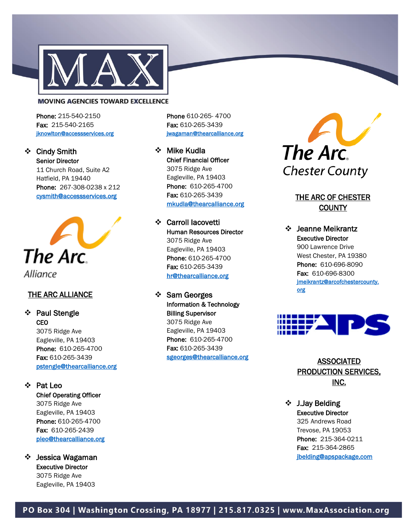

Phone: 215-540-2150 Fax: 215-540-2165 [jknowlton@accessservices.org](mailto:jknowlton@accessservices.org) 

#### ❖ Cindy Smith Senior Director 11 Church Road, Suite A2

Hatfield, PA 19440 Phone: 267-308-0238 x 212 [cysmith@accessservices.org](mailto:cysmith@accessservices.org) 



#### THE ARC ALLIANCE

#### ❖ Paul Stengle **CEO** 3075 Ridge Ave

Eagleville, PA 19403 Phone: 610-265-4700 Fax: 610-265-3439 [pstengle@thearcalliance.org](mailto:pstengle@thearcalliance.org)

#### ❖ Pat Leo

Chief Operating Officer 3075 Ridge Ave Eagleville, PA 19403 Phone: 610-265-4700 Fax: 610-265-2439 [pleo@thearcalliance.org](mailto:pleo@thearcalliance.org) 

#### ❖ Jessica Wagaman Executive Director 3075 Ridge Ave Eagleville, PA 19403

Phone 610-265- 4700 Fax: 610-265-3439 [jwagaman@thearcalliance.org](mailto:jwagaman@thearcalliance.org) 

❖ Mike Kudla Chief Financial Officer 3075 Ridge Ave Eagleville, PA 19403 Phone: 610-265-4700 Fax: 610-265-3439 [mkudla@thearcalliance.org](mailto:mkudla@thearcalliance.org) 

❖ Carroll Iacovetti Human Resources Director 3075 Ridge Ave Eagleville, PA 19403 Phone: 610-265-4700 Fax: 610-265-3439 [hr@thearcalliance.org](mailto:hr@thearcalliance.org) 

❖ Sam Georges Information & Technology Billing Supervisor 3075 Ridge Ave Eagleville, PA 19403 Phone: 610-265-4700 Fax: 610-265-3439 [sgeorges@thearcalliance.org](mailto:sgeorges@thearcalliance.org) 



# THE ARC OF CHESTER **COUNTY**

❖ Jeanne Meikrantz Executive Director 900 Lawrence Drive West Chester, PA 19380 Phone: 610-696-8090 Fax: 610-696-8300 [jmeikrantz@arcofchestercounty.](mailto:jmeikrantz@arcofchestercounty.org) [org](mailto:jmeikrantz@arcofchestercounty.org) 



# ASSOCIATED PRODUCTION SERVICES, INC.

❖ J.Jay Belding Executive Director 325 Andrews Road Trevose, PA 19053 Phone: 215-364-0211 Fax: 215-364-2865 [jbelding@apspackage.com](mailto:jbelding@apspackage.com)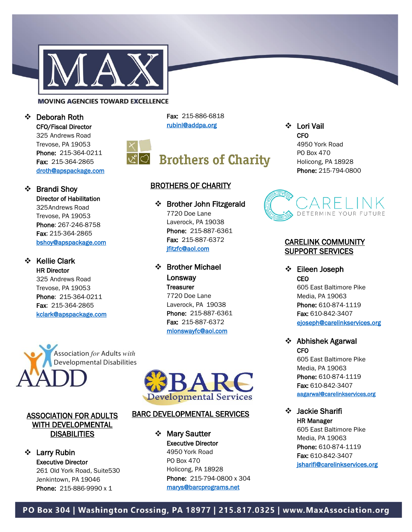

❖ Deborah Roth

❖ Brandi Shoy

❖ Kellie Clark HR Director 325 Andrews Road Trevose, PA 19053 Phone: 215-364-0211 Fax: 215-364-2865 [kclark@apspackage.com](mailto:kclark@apspackage.com) 

CFO/Fiscal Director 325 Andrews Road Trevose, PA 19053 Phone: 215-364-0211 Fax: 215-364-2865 [droth@apspackage.com](mailto:droth@apspackage.com) 

Director of Habilitation 325Andrews Road Trevose, PA 19053 Phone: 267-246-8758 Fax: 215-364-2865 [bshoy@apspackage.com](mailto:bshoy@apspackage.com)  Fax: 215-886-6818 [rubinl@addpa.org](mailto:rubinl@addpa.org) 



# & Brothers of Charity

#### BROTHERS OF CHARITY

❖ Brother John Fitzgerald 7720 Doe Lane Laverock, PA 19038 Phone: 215-887-6361 Fax: 215-887-6372 ifitzfc@aol.com

❖ Brother Michael Lonsway **Treasurer** 7720 Doe Lane Laverock, PA 19038 Phone: 215-887-6361 Fax: 215-887-6372 [mlonswayfc@aol.com](mailto:mlonswayfc@aol.com) 



#### ASSOCIATION FOR ADULTS WITH DEVELOPMENTAL **DISABILITIES**

❖ Larry Rubin Executive Director 261 Old York Road, Suite530 Jenkintown, PA 19046 Phone: 215-886-9990 x 1



#### BARC DEVELOPMENTAL SERVICES

❖ Mary Sautter Executive Director 4950 York Road PO Box 470 Holicong, PA 18928 Phone: 215-794-0800 x 304 [marys@barcprograms.net](mailto:marys@barcprograms.net) 

❖ Lori Vail CFO

4950 York Road PO Box 470 Holicong, PA 18928 Phone: 215-794-0800



#### CARELINK COMMUNITY SUPPORT SERVICES

❖ Eileen Joseph CEO 605 East Baltimore Pike Media, PA 19063 Phone: 610-874-1119 Fax: 610-842-3407

[ejoseph@carelinkservices.org](mailto:ejoseph@carelinkservices.org)  ❖ Abhishek Agarwal

> **CFO** 605 East Baltimore Pike Media, PA 19063 Phone: 610-874-1119

Fax: 610-842-3407 [aagarwal@carelinkservices.org](mailto:aagarwal@carelinkservices.org) 

❖ Jackie Sharifi HR Manager 605 East Baltimore Pike Media, PA 19063 Phone: 610-874-1119 Fax: 610-842-3407 [jsharifi@carelinkservices.org](mailto:jsharifi@carelinkservices.org) 

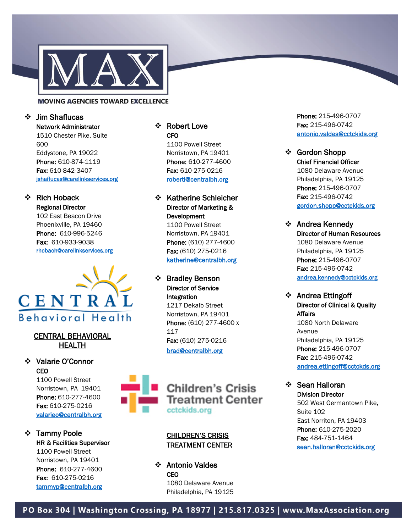

#### ❖ Jim Shaflucas

Network Administrator 1510 Chester Pike, Suite 600 Eddystone, PA 19022 Phone: 610-874-1119 Fax: 610-842-3407 [jshaflucas@carelinkservices.org](mailto:jshaflucas@carelinkservices.org) 

#### ❖ Rich Hoback Regional Director

102 East Beacon Drive Phoenixville, PA 19460 Phone: 610-996-5246 Fax: 610-933-9038 [rhobach@carelinkservices.org](mailto:rhobach@carelinkservices.org) 



#### CENTRAL BEHAVIORAL HEALTH

#### ❖ Valarie O'Connor **CEO**

1100 Powell Street Norristown, PA 19401 Phone: 610-277-4600 Fax: 610-275-0216 [valarieo@centralbh.org](mailto:valarieo@centralbh.org) 

# ❖ Tammy Poole HR & Facilities Supervisor 1100 Powell Street Norristown, PA 19401 Phone: 610-277-4600 Fax: 610-275-0216

# CFO

1100 Powell Street Norristown, PA 19401 Phone: 610-277-4600 Fax: 610-275-0216 [robertl@centralbh.org](mailto:robertl@centralbh.org) 

# ❖ Katherine Schleicher Director of Marketing & Development

1100 Powell Street Norristown, PA 19401 Phone: (610) 277 -4600 Fax: (610) 275-0216 [katherine@centralbh.org](mailto:katherine@centralbh.org) 

#### ❖ Bradley Benson Director of Service Integration

1217 Dekalb Street Norristown, PA 19401 Phone: (610) 277-4600 x 117 Fax: (610) 275-0216 [brad@centralbh.org](mailto:brad@centralbh.org)



#### **CHILDREN'S CRISIS** TREATMENT CENTER

❖ Antonio Valdes **CEO** 1080 Delaware Avenue Philadelphia, PA 19125

Phone: 215-496-0707 Fax: 215-496-0742 [antonio.valdes@cctckids.org](mailto:antonio.valdes@cctckids.org) 

#### ❖ Gordon Shopp Chief Financial Officer 1080 Delaware Avenue Philadelphia, PA 19125 Phone: 215-496-0707 Fax: 215-496-0742 [gordon.shopp@cctckids.org](mailto:gordon.shopp@cctckids.org)

❖ Andrea Kennedy Director of Human Resources 1080 Delaware Avenue Philadelphia, PA 19125 Phone: 215-496-0707 Fax: 215-496-0742 [andrea.kennedy@cctckids.org](mailto:andrea.kennedy@cctckids.org) 

#### ❖ Andrea Ettingoff Director of Clinical & Quality Affairs

1080 North Delaware Avenue Philadelphia, PA 19125 Phone: 215-496-0707 Fax: 215-496-0742 [andrea.ettingoff@cctckds.org](mailto:andrea.ettingoff@cctckds.org) 

#### ❖ Sean Halloran Division Director

502 West Germantown Pike, Suite 102 East Norriton, PA 19403 Phone: 610-275-2020 Fax: 484-751-1464 [sean.halloran@cctckids.org](mailto:sean.halloran@cctckids.org)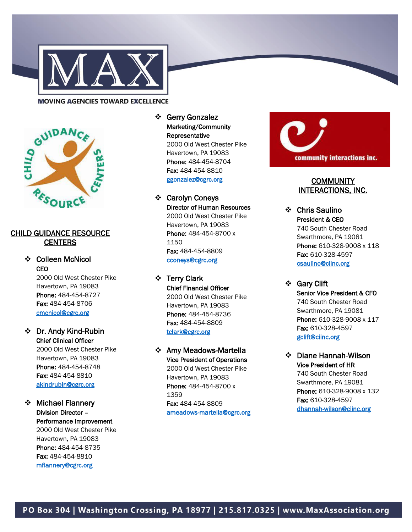



#### CHILD GUIDANCE RESOURCE **CENTERS**

❖ Colleen McNicol CEO

2000 Old West Chester Pike Havertown, PA 19083 Phone: 484-454-8727 Fax: 484-454-8706 [cmcnicol@cgrc.org](mailto:cmcnicol@cgrc.org) 

❖ Dr. Andy Kind-Rubin Chief Clinical Officer

2000 Old West Chester Pike Havertown, PA 19083 Phone: 484-454-8748 Fax: 484-454-8810 [akindrubin@cgrc.org](mailto:akindrubin@cgrc.org) 

# ❖ Michael Flannery Division Director – Performance Improvement 2000 Old West Chester Pike Havertown, PA 19083 Phone: 484-454-8735 Fax: 484-454-8810

Marketing/Community Representative 2000 Old West Chester Pike Havertown, PA 19083 Phone: 484-454-8704 Fax: 484-454-8810 [ggonzalez@cgrc.org](mailto:ggonzalez@cgrc.org) 

#### ❖ Carolyn Coneys Director of Human Resources 2000 Old West Chester Pike Havertown, PA 19083 Phone: 484-454-8700 x 1150 Fax: 484-454-8809 [cconeys@cgrc.org](mailto:cconeys@cgrc.org)

❖ Terry Clark Chief Financial Officer 2000 Old West Chester Pike Havertown, PA 19083 Phone: 484-454-8736 Fax: 484-454-8809 [tclark@cgrc.org](mailto:tclark@cgrc.org) 

# ❖ Amy Meadows -Martella Vice President of Operations

2000 Old West Chester Pike Havertown, PA 19083 Phone: 484-454-8700 x 1359 Fax: 484-454-8809 ameadows [-martella@cgrc.org](mailto:ameadows-martella@cgrc.org) 



# **COMMUNITY** INTERACTIONS, INC.

❖ Chris Saulino President & CEO 740 South Chester Road Swarthmore, PA 19081 Phone: 610-328-9008 x 118 Fax: 610-328-4597 [csaulino@ciinc.org](mailto:csaulino@ciinc.org) 

❖ Gary Clift Senior Vice President & CFO 740 South Chester Road Swarthmore, PA 19081 Phone: 610-328-9008 x 117 Fax: 610-328-4597 [gclift@ciinc.org](mailto:gclift@ciinc.org) 

❖ Diane Hannah -Wilson Vice President of HR 740 South Chester Road Swarthmore, PA 19081 Phone: 610-328-9008 x 132 Fax: 610-328-4597 dhannah [-wilson@ciinc.org](mailto:dhannah-wilson@ciinc.org)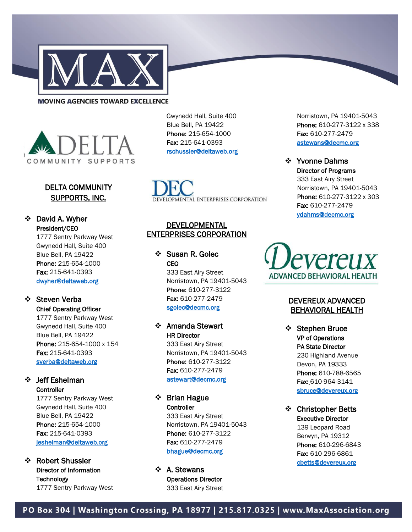



#### DELTA COMMUNITY SUPPORTS, INC.

# ❖ David A. Wyher President/CEO

1777 Sentry Parkway West Gwynedd Hall, Suite 400 Blue Bell, PA 19422 Phone: 215-654-1000 Fax: 215-641-0393 [dwyher@deltaweb.org](mailto:dwyher@deltaweb.org) 

# ❖ Steven Verba

Chief Operating Officer 1777 Sentry Parkway West Gwynedd Hall, Suite 400 Blue Bell, PA 19422 Phone: 215-654-1000 x 154 Fax: 215-641-0393 [sverba@deltaweb.org](mailto:sverba@deltaweb.org) 

#### ❖ Jeff Eshelman **Controller**

1777 Sentry Parkway West Gwynedd Hall, Suite 400 Blue Bell, PA 19422 Phone: 215-654-1000 Fax: 215-641-0393 [jeshelman@deltaweb.org](mailto:jeshelman@deltaweb.org) 

#### ❖ Robert Shussler Director of Information **Technology** 1777 Sentry Parkway West

Gwynedd Hall, Suite 400 Blue Bell, PA 19422 Phone: 215-654-1000 Fax: 215-641-0393 [rschussler@deltaweb.org](mailto:rschussler@deltaweb.org) 

VELOPMENTAL ENTERPRISES CORPORATION

#### **DEVELOPMENTAL** ENTERPRISES CORPORATION

❖ Susan R. Golec **CEO** 333 East Airy Street Norristown, PA 19401-5043

Phone: 610-277-3122 Fax: 610-277-2479 [sgolec@decmc.org](mailto:sgolec@decmc.org) 

#### ❖ Amanda Stewart HR Director

333 East Airy Street Norristown, PA 19401-5043 Phone: 610-277-3122 Fax: 610-277-2479 [astewart@decmc.org](mailto:astewart@decmc.org) 

❖ Brian Hague **Controller** 333 East Airy Street Norristown, PA 19401-5043 Phone: 610-277-3122 Fax: 610-277-2479 [bhague@decmc.org](mailto:bhague@decmc.org) 

❖ A. Stewans Operations Director 333 East Airy Street Norristown, PA 19401-5043 Phone: 610-277-3122 x 338 Fax: 610-277-2479 [astewans@decmc.org](mailto:astewans@decmc.org) 

❖ Yvonne Dahms Director of Programs 333 East Airy Street Norristown, PA 19401-5043 Phone: 610-277-3122 x 303 Fax: 610-277-2479 [ydahms@decmc.org](mailto:ydahms@decmc.org) 

*evereux* ADVANCED BEHAVIORAL HEALTH

#### DEVEREUX ADVANCED BEHAVIORAL HEALTH

❖ Stephen Bruce VP of Operations PA State Director 230 Highland Avenue Devon, PA 19333 Phone: 610-788-6565 Fax: 610-964-3141 [sbruce@devereux.org](mailto:sbruce@devereux.org) 

❖ Christopher Betts Executive Director 139 Leopard Road Berwyn, PA 19312 Phone: 610-296-6843 Fax: 610-296-6861 [cbetts@devereux.org](mailto:cbetts@devereux.org)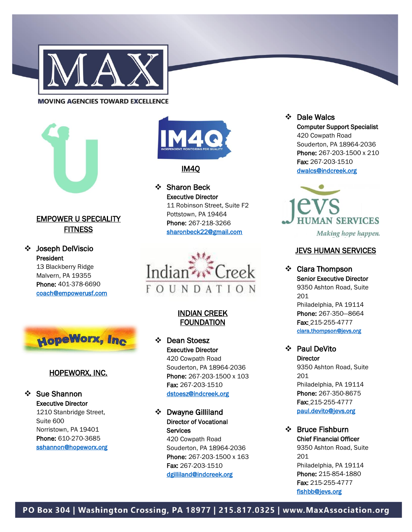



# EMPOWER U SPECIALITY **FITNESS**

❖ Joseph DelViscio President

13 Blackberry Ridge Malvern, PA 19355 Phone: 401-378-6690 [coach@empowerusf.com](mailto:coach@empowerusf.com) 



#### HOPEWORX, INC.

#### ❖ Sue Shannon Executive Director 1210 Stanbridge Street, Suite 600 Norristown, PA 19401 Phone: 610-270-3685 [sshannon@hopeworx.org](mailto:sshannon@hopeworx.org)



#### IM4Q

❖ Sharon Beck Executive Director 11 Robinson Street, Suite F2 Pottstown, PA 19464 Phone: 267-218-3266 [sharonbeck22@gmail.com](mailto:sharonbeck22@gmail.com) 



#### INDIAN CREEK FOUNDATION

❖ Dean Stoesz Executive Director 420 Cowpath Road Souderton, PA 18964-2036 Phone: 267-203-1500 x 103 Fax: 267-203-1510 [dstoesz@indcreek.org](mailto:dstoesz@indcreek.org) 

❖ Dwayne Gilliland Director of Vocational **Services** 

> 420 Cowpath Road Souderton, PA 18964-2036 Phone: 267-203-1500 x 163 Fax: 267-203-1510 [dgilliland@indcreek.org](mailto:dgilliland@indcreek.org)

❖ Dale Walcs Computer Support Specialist 420 Cowpath Road Souderton, PA 18964-2036 Phone: 267-203-1500 x 210 Fax: 267-203-1510 [dwalcs@indcreek.org](mailto:dwalcs@indcreek.org) 



Making hope happen.

#### **JEVS HUMAN SERVICES**

❖ Clara Thompson Senior Executive Director 9350 Ashton Road, Suite 201 Philadelphia, PA 19114 Phone: 267-350—8664 Fax: 215-255-4777 [clara.thompson@jevs.org](mailto:clara.thompson@jevs.org) 

❖ Paul DeVito **Director** 9350 Ashton Road, Suite 201 Philadelphia, PA 19114 Phone: 267-350-8675 Fax: 215-255-4777 [paul.devito@jevs.org](mailto:paul.devito@jevs.org) 

❖ Bruce Fishburn Chief Financial Officer 9350 Ashton Road, Suite 201 Philadelphia, PA 19114 Phone: 215-854-1880 Fax: 215-255-4777 [fishbb@jevs.org](mailto:fishbb@jevs.org)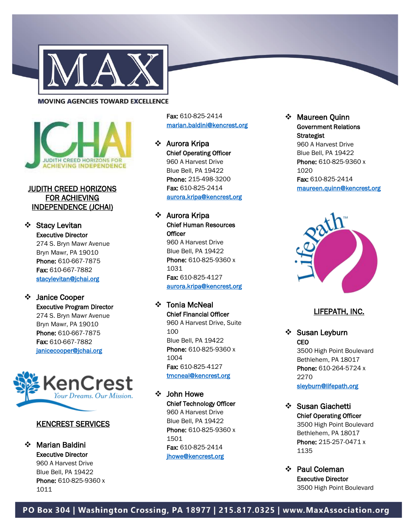



#### JUDITH CREED HORIZONS FOR ACHIEVING INDEPENDENCE (JCHAI)

❖ Stacy Levitan Executive Director 274 S. Bryn Mawr Avenue Bryn Mawr, PA 19010 Phone: 610-667-7875 Fax: 610-667-7882 [stacylevitan@jchai.org](mailto:stacylevitan@jchai.org) 

#### ❖ Janice Cooper Executive Program Director 274 S. Bryn Mawr Avenue Bryn Mawr, PA 19010 Phone: 610-667-7875 Fax: 610-667-7882

[janicecooper@jchai.org](mailto:janicecooper@jchai.org) 



#### KENCREST SERVICES

❖ Marian Baldini Executive Director 960 A Harvest Drive Blue Bell, PA 19422 Phone: 610-825-9360 x 1011

Fax: 610 -825 -2414 [marian.baldini@kencrest.org](mailto:marian.baldini@kencrest.org) 

❖ Aurora Kripa Chief Operating Officer 960 A Harvest Drive Blue Bell, PA 19422 Phone: 215-498-3200 Fax: 610-825-2414 [aurora.kripa@kencrest.org](mailto:pschuessler@kencrest.org) 

❖ Aurora Kripa Chief Human Resources **Officer** 960 A Harvest Drive Blue Bell, PA 19422 Phone: 610-825-9360 x 1031 Fax: 610-825-4127 [aurora.kripa@kencrest.org](mailto:aurora.kripa@kencrest.org) Fax: 610-825-2414<br>
Maureen Quinn<br>
marian.baldini@kencrest.org<br>
Strategist<br>
Aurora Kripa<br>
Chorearing Officer<br>
Chief Operating Officer<br>
Bive Bell, PA 19422<br>
Bive Bell, PA 19422<br>
Phone: 610-825-93414<br>
Maurora Kripa<br>
Enc: 610-

# ❖ Tonia McNeal

Chief Financial Officer 960 A Harvest Drive, Suite 100 Blue Bell, PA 19422 Phone: 610-825-9360 x 1004 Fax: 610-825-4127 [tmcneal@kencrest.org](mailto:tmcneal@kencrest.org) 

#### ❖ John Howe Chief Technology Officer

960 A Harvest Drive Blue Bell, PA 19422 Phone: 610-825-9360 x 1501 Fax: 610-825-2414

Government Relations **Strategist** 960 A Harvest Drive Blue Bell, PA 19422 Phone: 610-825-9360 x 1020 Fax: 610-825-2414 [maureen.quinn@kencrest.org](mailto:maureen.quinn@kencrest.org) 



#### LIFEPATH, INC.

❖ Susan Leyburn<br>CEO 3500 High Point Boulevard Bethlehem, PA 18017 Phone: 610-264-5724 x 2270 [sleyburn@lifepath.org](mailto:sleyburn@lifepath.org) 

❖ Susan Giachetti Chief Operating Officer 3500 High Point Boulevard Bethlehem, PA 18017 Phone: 215-257-0471 x 1135

❖ Paul Coleman Executive Director 3500 High Point Boulevard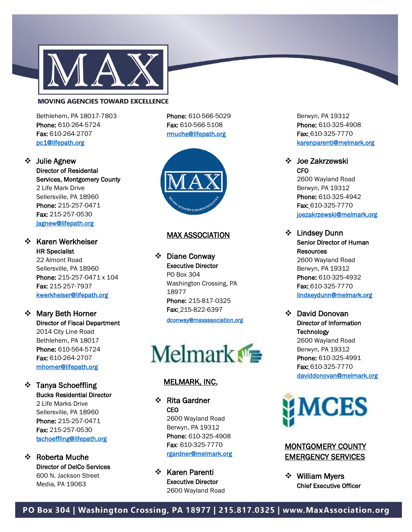

Bethlehem, PA 18017 -7803 Phone: 610-264-5724 Fax: 610-264-2707 [pc1@lifepath.org](mailto:pc1@lifepath.org) 

Phone: 610-566-5029 Fax: 610-566-5108 [rmuche@lifepath.org](mailto:rmuche@lifepath.org) 

❖ Julie Agnew Director of Residental Services, Montgomery County 2 Life Mark Drive Sellersville, PA 18960 Phone: 215-257-0471 Fax: 215-257-0530 [jagnew@lifepath.org](mailto:jagnew@lifepath.org) 

#### ❖ Karen Werkheiser HR Specialist 22 Almont Road

Sellersville, PA 18960 Phone: 215-257-0471 x 104 Fax: 215-257-7937 [kwerkheiser@lifepath.org](mailto:kwerkheiser@lifepath.org) 

- ❖ Mary Beth Horner Director of Fiscal Department 2014 City Line Road Bethlehem, PA 18017 Phone: 610-564-5724 Fax: 610-264-2707 [mhorner@lifepath.org](mailto:mhorner@lifepath.org)
- ❖ Tanya Schoeffling Bucks Residential Director

2 Life Marks Drive Sellersville, PA 18960 Phone: 215-257-0471 Fax: 215-257-0530 [tschoeffling@lifepath.org](mailto:tschoeffling@lifepath.org) 

❖ Roberta Muche Director of DelCo Services 600 N. Jackson Street Media, PA 19063



#### MAX ASSOCIATION

❖ Diane Conway Executive Director PO Box 304 Washington Crossing, PA 18977 Phone: 215-817-0325 Fax: 215-822-6397

[dconway@maxassociation.org](mailto:dconway@maxassociation.org) 

 $M$ elmark $\blacksquare$ 

#### MELMARK, INC.

❖ Rita Gardner **CEO** 2600 Wayland Road Berwyn, PA 19312 Phone: 610-325-4908 Fax: 610-325-7770 [rgardner@melmark.org](mailto:rgardner@melmark.org) 

❖ Karen Parenti Executive Director 2600 Wayland Road Berwyn, PA 19312 Phone: 610-325-4908 Fax: 610-325-7770 [karenparenti@melmark.org](mailto:karenparenti@melmark.org) 

#### ❖ Joe Zakrzewski **CFO**

2600 Wayland Road Berwyn, PA 19312 Phone: 610-325-4942 Fax: 610-325-7770 [joezakrzewski@melmark.org](mailto:joezakrzewski@melmark.org) 

- ❖ Lindsey Dunn Senior Director of Human **Resources** 2600 Wayland Road Berwyn, PA 19312 Phone: 610-325-4932 Fax: 610-325-7770 [lindseydunn@melmark.org](mailto:lindseydunn@melmark.org)
- ❖ David Donovan Director of Information **Technology** 2600 Wayland Road Berwyn, PA 19312 Phone: 610-325-4991 **Fax: 610-325-7770** [daviddonovan@melmark.org](mailto:daviddonovan@melmark.org)



#### MONTGOMERY COUNTY EMERGENCY SERVICES

❖ William Myers Chief Executive Officer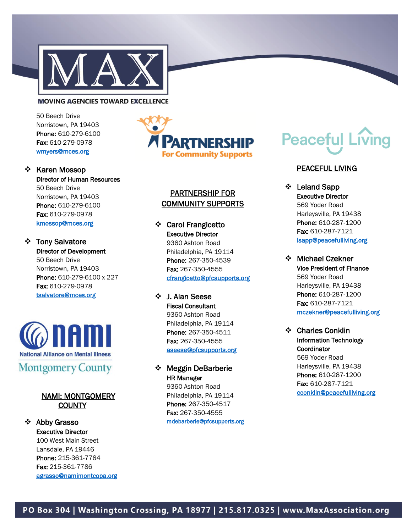

50 Beech Drive Norristown, PA 19403 Phone: 610-279-6100 Fax: 610-279-0978 [wmyers@mces.org](mailto:wmyers@mces.org) 

❖ Karen Mossop Director of Human Resources 50 Beech Drive Norristown, PA 19403 Phone: 610-279-6100 Fax: 610-279-0978 [kmossop@mces.org](mailto:kmossop@mces.org) 

❖ Tony Salvatore Director of Development 50 Beech Drive Norristown, PA 19403 Phone: 610-279-6100 x 227 Fax: 610-279-0978 [tsalvatore@mces.org](mailto:tsalvatore@mces.org) 



# **Montgomery County**

#### NAMI: MONTGOMERY **COUNTY**

#### ❖ Abby Grasso

Executive Director 100 West Main Street Lansdale, PA 19446 Phone: 215-361-7784 Fax: 215-361-7786 [agrasso@namimontcopa.org](mailto:agrasso@namimontcopa.org) 



#### PARTNERSHIP FOR COMMUNITY SUPPORTS

❖ Carol Frangicetto Executive Director 9360 Ashton Road

Philadelphia, PA 19114 Phone: 267-350-4539 Fax: 267-350-4555 [cfrangicetto@pfcsupports.org](mailto:cfrangicetto@pfcsupports.org) 

- ❖ J. Alan Seese Fiscal Consultant 9360 Ashton Road Philadelphia, PA 19114 Phone: 267-350-4511 Fax: 267-350-4555 [aseese@pfcsupports.org](mailto:aseese@pfcsupports.org)
- ❖ Meggin DeBarberie HR Manager

9360 Ashton Road Philadelphia, PA 19114 Phone: 267-350-4517 Fax: 267-350-4555 [mdebarberie@pfcsupports.org](mailto:mdebarberie@pfcsupports.org) 

# **Peaceful Living**

#### PEACEFUL LIVING

- ❖ Leland Sapp Executive Director 569 Yoder Road Harleysville, PA 19438 Phone: 610-287-1200 Fax: 610-287-7121 [lsapp@peacefulliving.org](mailto:lsapp@peacefulliving.org)
- ❖ Michael Czekner Vice President of Finance 569 Yoder Road Harleysville, PA 19438 Phone: 610-287-1200 Fax: 610-287-7121 [mczekner@peacefulliving.org](mailto:mczekner@peacefulliving.org)
- ❖ Charles Conklin Information Technology **Coordinator** 569 Yoder Road Harleysville, PA 19438 Phone: 610-287-1200 Fax: 610-287-7121 [cconklin@peacefulliving.org](mailto:cconklin@peacefulliving.org)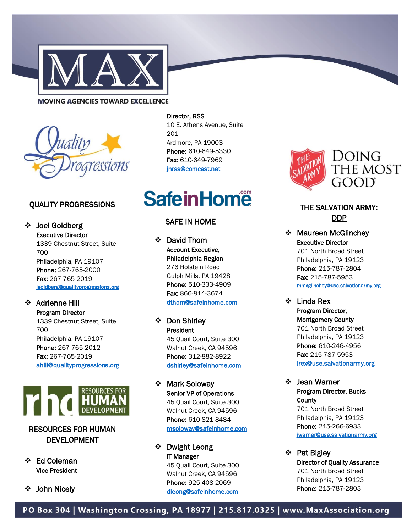



#### QUALITY PROGRESSIONS

❖ Joel Goldberg Executive Director 1339 Chestnut Street, Suite 700 Philadelphia, PA 19107 Phone: 267-765-2000 Fax: 267-765-2019 [jgoldberg@qualityprogressions.org](mailto:jgoldberg@qualityprogressions.org) 

#### ❖ Adrienne Hill

Program Director 1339 Chestnut Street, Suite 700 Philadelphia, PA 19107 Phone: 267-765-2012 Fax: 267-765-2019 [ahill@qualityprogressions.org](mailto:ahill@qualityprogressions.org) 



# RESOURCES FOR HUMAN DEVELOPMENT

- ❖ Ed Coleman Vice President
- ❖ John Nicely

#### Director, RSS

10 E. Athens Avenue, Suite 201 Ardmore, PA 19003 Phone: 610-649-5330 Fax: 610-649-7969 [jnrss@comcast.net](mailto:jnrss@comcast.net) 

# **SafeinHome**

#### SAFE IN HOME

❖ David Thom Account Executive, Philadelphia Region 276 Holstein Road Gulph Mills, PA 19428 Phone: 510-333-4909 Fax: 866-814-3674 [dthom@safeinhome.com](mailto:dthom@safeinhome.com) 

❖ Don Shirley President 45 Quail Court, Suite 300 Walnut Creek, CA 94596 Phone: 312-882-8922 [dshirley@safeinhome.com](mailto:dshirley@safeinhome.com) 

❖ Mark Soloway Senior VP of Operations 45 Quail Court, Suite 300 Walnut Creek, CA 94596 Phone: 610-821-8484 [msoloway@safeinhome.com](mailto:msoloway@safeinhome.com) 

# ❖ Dwight Leong IT Manager

45 Quail Court, Suite 300 Walnut Creek, CA 94596 Phone: 925-408-2069 [dleong@safeinhome.com](mailto:dleong@safeinhome.com) 



# THE SALVATION ARMY: DDP

- ❖ Maureen McGlinchey Executive Director 701 North Broad Street Philadelphia, PA 19123 Phone: 215-787-2804 Fax: 215-787-5953 [mmcglinchey@use.salvationarmy.org](mailto:mmcglinchey@use.salvationarmy.org)
- ❖ Linda Rex Program Director, Montgomery County 701 North Broad Street Philadelphia, PA 19123 Phone: 610-246-4956 Fax: 215-787-5953 [lrex@use.salvationarmy.org](mailto:lrex@use.salvationarmy.org)
- ❖ Jean Warner Program Director, Bucks **County** 701 North Broad Street Philadelphia, PA 19123 Phone: 215-266-6933 [jwarner@use.salvationarmy.org](mailto:jwarner@use.salvationarmy.org)
- ❖ Pat Bigley Director of Quality Assurance 701 North Broad Street Philadelphia, PA 19123 Phone: 215-787-2803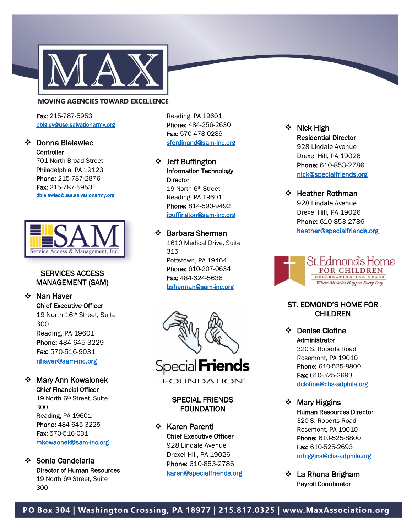

Fax: 215-787-5953 [pbigley@use.salvationarmy.org](mailto:pbigley@use.salvationarmy.org) 

#### ❖ Donna Bielawiec **Controller**

701 North Broad Street Philadelphia, PA 19123 Phone: 215-787-2876 Fax: 215-787-5953 [dbielawiec@use.salvationarmy.org](mailto:dbielawiec@use.salvationarmy.org) 



#### SERVICES ACCESS MANAGEMENT (SAM)

❖ Nan Haver Chief Executive Officer 19 North 16th Street, Suite 300 Reading, PA 19601 Phone: 484-645-3229 Fax: 570-516-9031 [nhaver@sam](mailto:nhaver@sam-inc.org) -inc.org

❖ Mary Ann Kowalonek Chief Financial Officer

> 19 North 6th Street, Suite 300 Reading, PA 19601 Phone: 484-645-3225 Fax: 570-516-031 [mkowaonek@sam](mailto:mkowaonek@sam-inc.org) -inc.org

❖ Sonia Candelaria Director of Human Resources 19 North 6th Street, Suite 300

Reading, PA 19601 Phone: 484-256-2630 Fax: 570-478-0289 [sferdinand@sam](mailto:sferdinand@sam-inc.org) -inc.org

❖ Jeff Buffington Information Technology **Director** 19 North 6th Street Reading, PA 19601 Phone: 814-590-9492 [jbuffington@sam](mailto:jbuffington@sam-inc.org) -inc.org

# ❖ Barbara Sherman

1610 Medical Drive, Suite 315 Pottstown, PA 19464 Phone: 610-207-0634 Fax: 484-624-5636 [bsherman@sam](mailto:bsherman@sam-inc.org) -inc.org



#### SPECIAL FRIENDS FOUNDATION

❖ Karen Parenti Chief Executive Officer 928 Lindale Avenue Drexel Hill, PA 19026 Phone: 610-853-2786

# Residential Director 928 Lindale Avenue Drexel Hill, PA 19026 Phone: 610-853-2786 [nick@specialfriends.org](mailto:karen@specialfriends.org)

#### ❖ Heather Rothman 928 Lindale Avenue

Drexel Hill, PA 19026 Phone: 610-853-2786 [heather@specialfriends.org](mailto:heather@specialfriends.org) 



#### ST. EDMOND'S HOME FOR CHILDREN

- ❖ Denise Clofine Administrator 320 S. Roberts Road Rosemont, PA 19010 Phone: 610-525-8800 Fax: 610 -525 -2693 [dclofine@chs](mailto:dclofine@chs-adphila.org) -adphila.org
- ❖ Mary Higgins Human Resources Director 320 S. Roberts Road Rosemont, PA 19010 Phone: 610-525-8800 Fax: 610-525-2693 [mhiggins@chs](mailto:mhiggins@chs-adphila.org) -adphila.org
- ❖ La Rhona Brigham Payroll Coordinator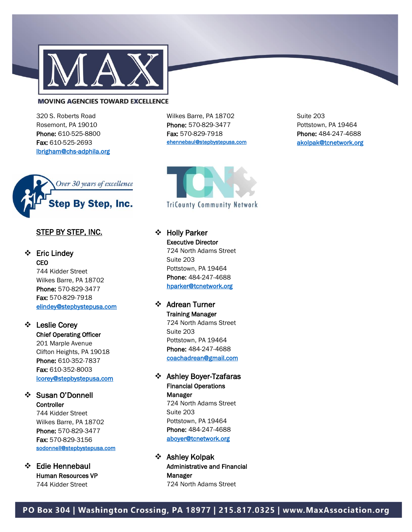

320 S. Roberts Road Rosemont, PA 19010 Phone: 610-525-8800 Fax: 610-525-2693 [lbrigham@chs-adphila.org](mailto:lbrigham@chs-adphila.org) 



#### STEP BY STEP, INC.

#### ❖ Eric Lindey **CEO**

744 Kidder Street Wilkes Barre, PA 18702 Phone: 570-829-3477 Fax: 570-829-7918 [elindey@stepbystepusa.com](mailto:elindey@stepbystepusa.com) 

# ❖ Leslie Corey

Chief Operating Officer 201 Marple Avenue Clifton Heights, PA 19018 Phone: 610-352-7837 Fax: 610-352-8003 [lcorey@stepbystepusa.com](mailto:lcorey@stepbystepusa.com) 

#### ❖ Susan O'Donnell **Controller**

744 Kidder Street Wilkes Barre, PA 18702 Phone: 570-829-3477 Fax: 570-829-3156 [sodonnell@stepbystepusa.com](mailto:sodonnell@stepbystepusa.com) 

❖ Edie Hennebaul Human Resources VP 744 Kidder Street

Wilkes Barre, PA 18702 Phone: 570-829-3477 Fax: 570-829-7918 [ehennebaul@stepbystepusa.com](mailto:ehennebaul@stepbystepusa.com) 



# ❖ Holly Parker Executive Director

724 North Adams Street Suite 203 Pottstown, PA 19464 Phone: 484-247-4688 [hparker@tcnetwork.org](mailto:ehennebaul@stepbystepusa.com) 

# ❖ Adrean Turner

Training Manager 724 North Adams Street Suite 203 Pottstown, PA 19464 Phone: 484-247-4688 [coachadrean@gmail.com](mailto:ehennebaul@stepbystepusa.com) 

#### ❖ Ashley Boyer-Tzafaras Financial Operations Manager

724 North Adams Street Suite 203 Pottstown, PA 19464 Phone: 484-247-4688 [aboyer@tcnetwork.org](mailto:aboyer@tcnetwork.org) 

❖ Ashley Kolpak Administrative and Financial Manager 724 North Adams Street

Suite 203 Pottstown, PA 19464 Phone: 484-247-4688 [akolpak@tcnetwork.org](mailto:akolpak@tcnetwork.org)